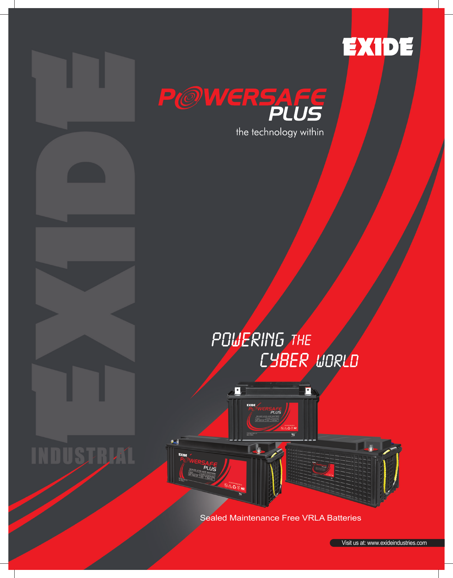



# POUERING THE CYBER WORLD



Sealed Maintenance Free VRLA Batteries

Visit us at: www.exideindust